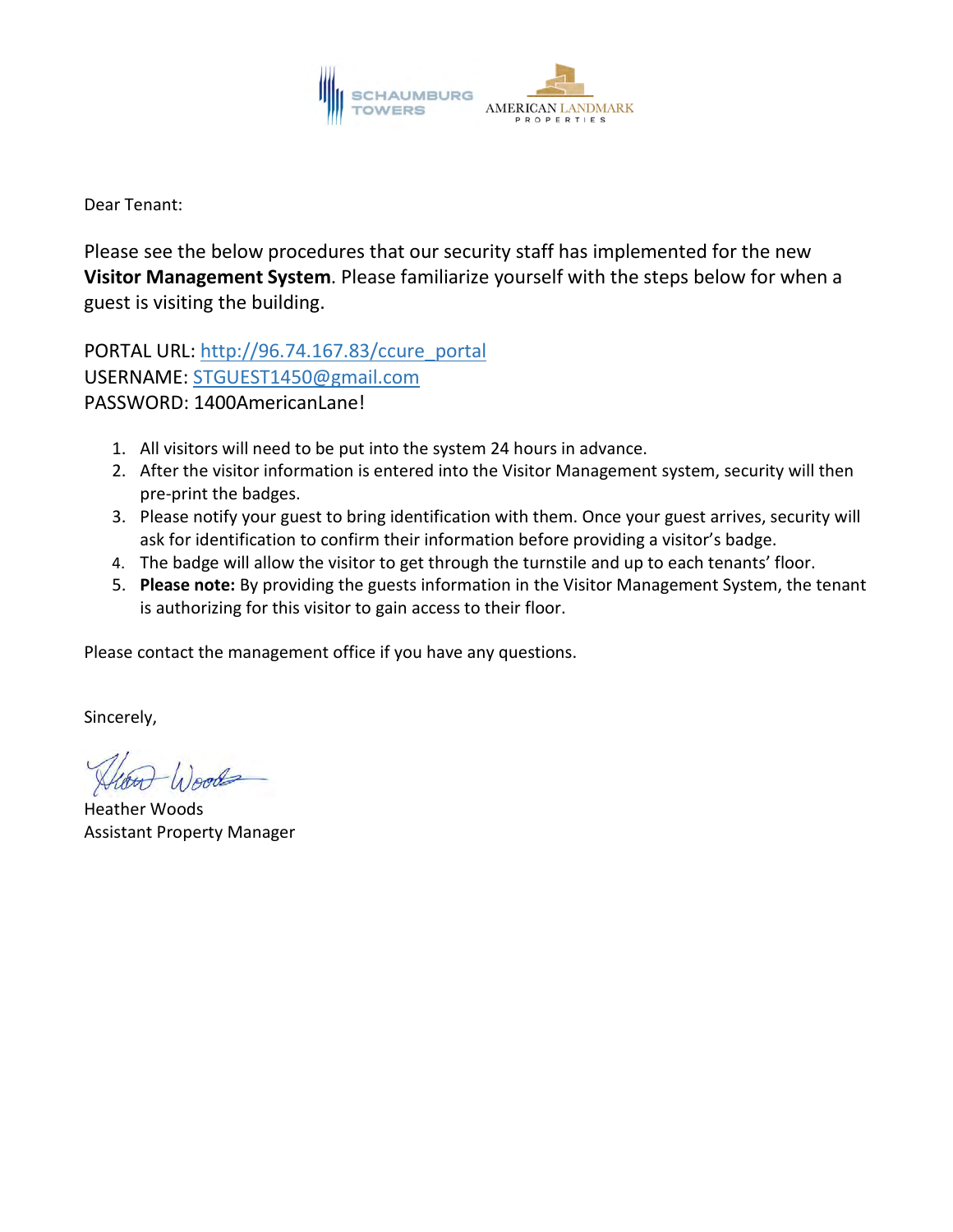

Dear Tenant:

Please see the below procedures that our security staff has implemented for the new **Visitor Management System**. Please familiarize yourself with the steps below for when a guest is visiting the building.

PORTAL URL: [http://96.74.167.83/ccure\\_portal](http://96.74.167.83/ccure_portal) USERNAME: [STGUEST1450@gmail.com](mailto:STGUEST1450@gmail.com) PASSWORD: 1400AmericanLane!

- 1. All visitors will need to be put into the system 24 hours in advance.
- 2. After the visitor information is entered into the Visitor Management system, security will then pre-print the badges.
- 3. Please notify your guest to bring identification with them. Once your guest arrives, security will ask for identification to confirm their information before providing a visitor's badge.
- 4. The badge will allow the visitor to get through the turnstile and up to each tenants' floor.
- 5. **Please note:** By providing the guests information in the Visitor Management System, the tenant is authorizing for this visitor to gain access to their floor.

Please contact the management office if you have any questions.

Sincerely,

Heather Woods Assistant Property Manager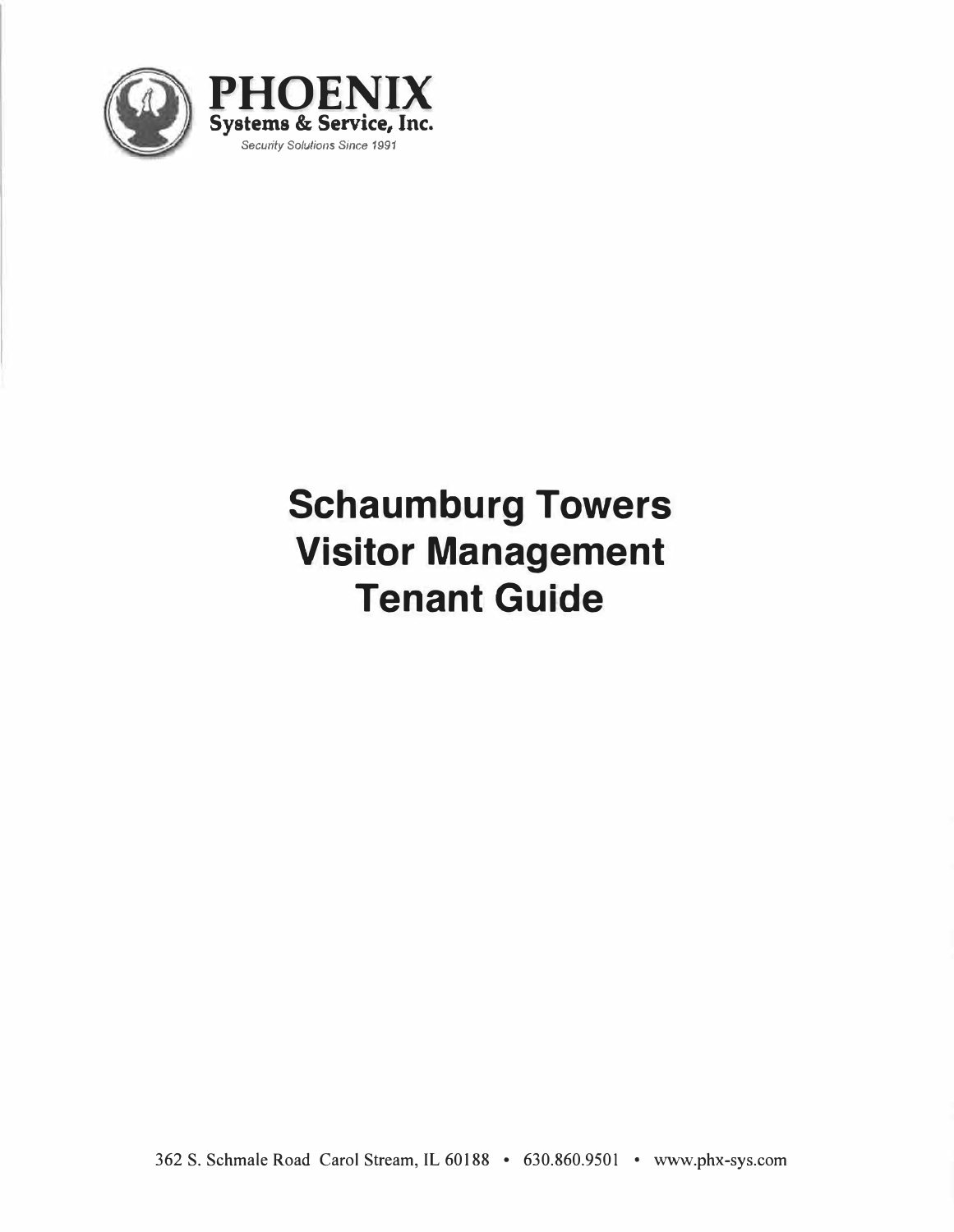

# **Schaumburg Towers Visitor Management Tenant Guide**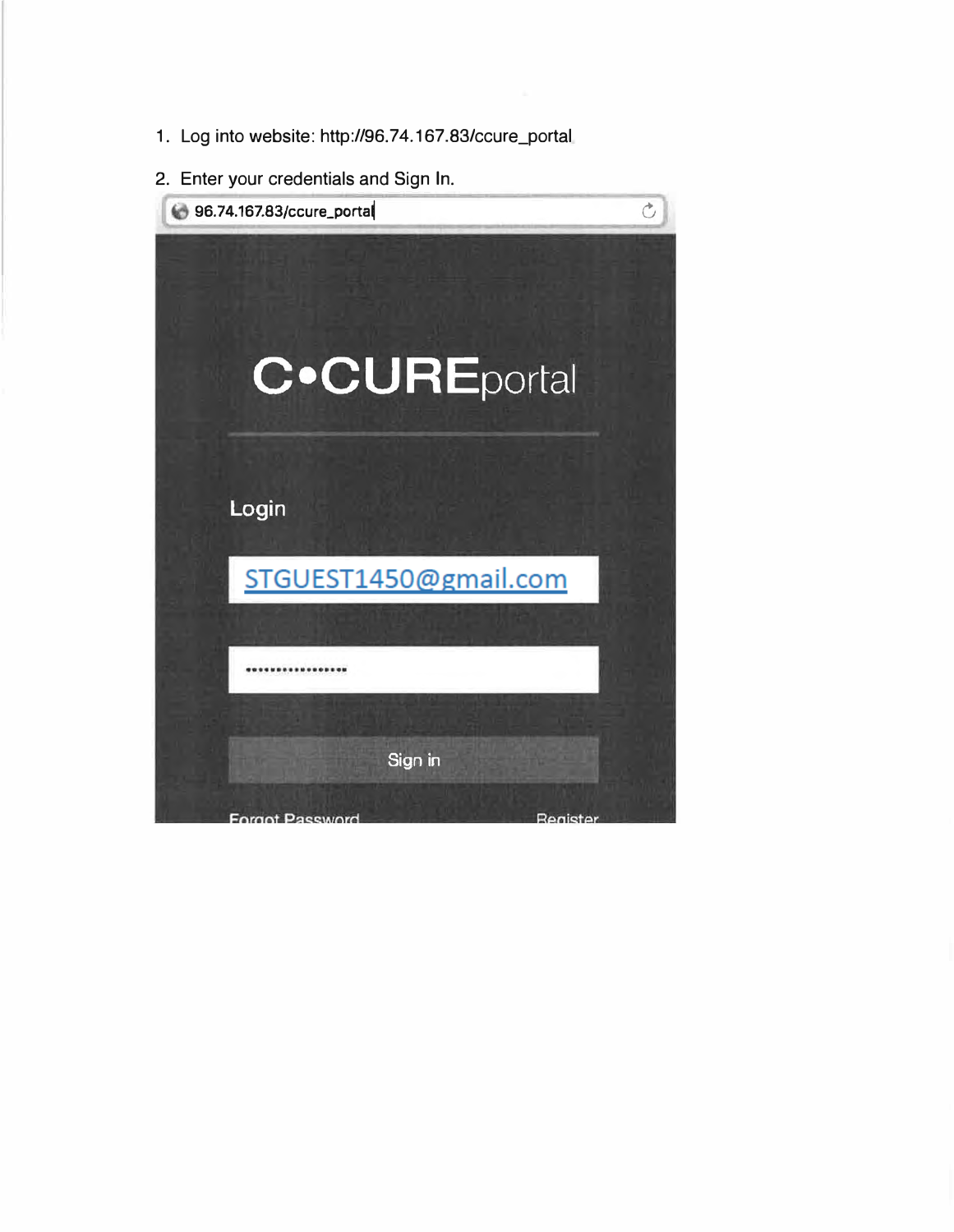- 1. Log into website: http:/196.74.167.83/ccure\_portal
- 2. Enter your credentials and Sign In.

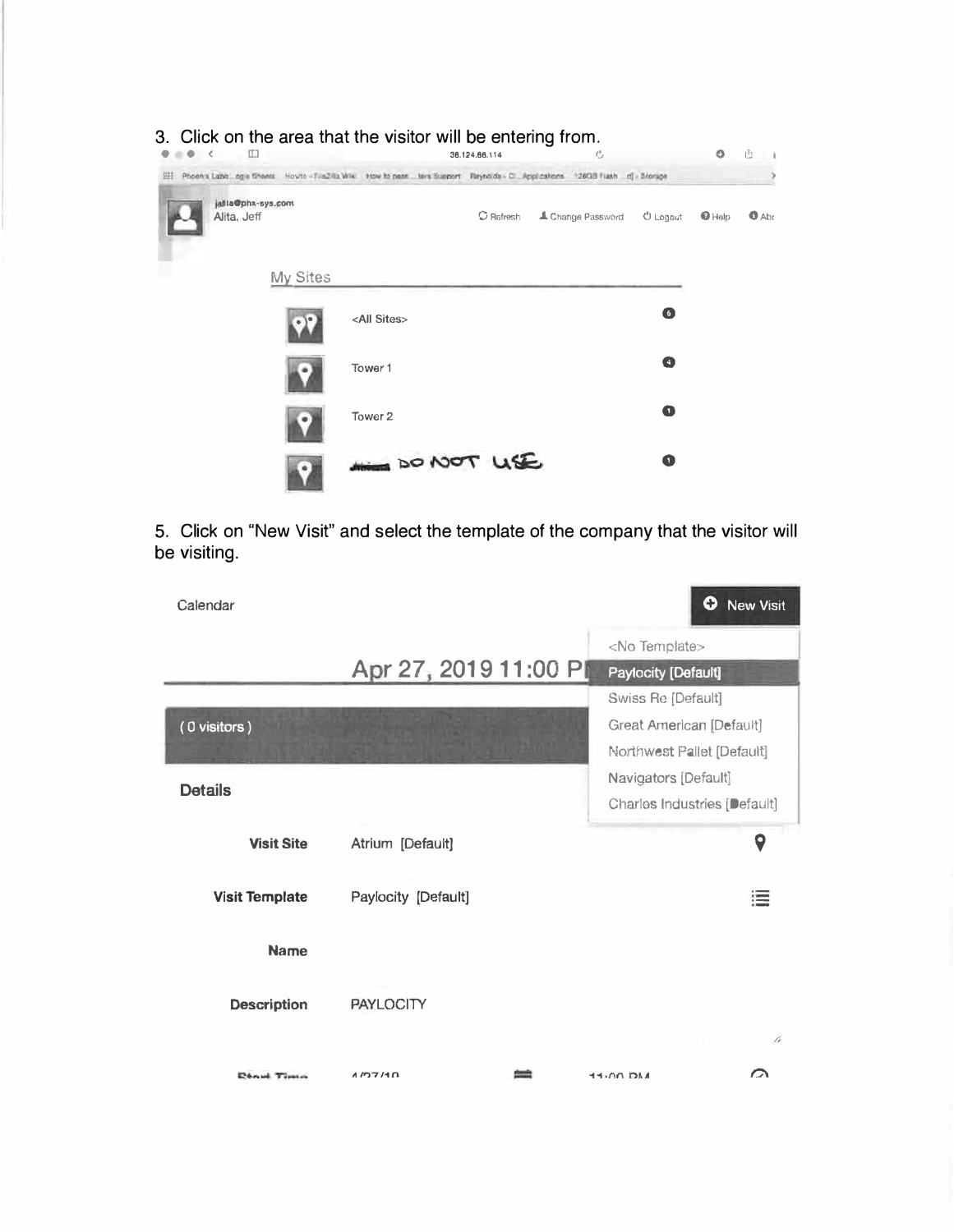| 3. Click on the area that the visitor will be entering from.<br>肛<br>$\bullet$ < |          |                                                                                                                                  | 36, 124, 66, 114    | e                 |            | O        | Ê         |
|----------------------------------------------------------------------------------|----------|----------------------------------------------------------------------------------------------------------------------------------|---------------------|-------------------|------------|----------|-----------|
| 进                                                                                |          | Phoenix Lang agie Sheets Howto - FileZilla Wiki How to pean Litera Support. Reynolds - C. Applications 126GB Flash  d) - Storage |                     |                   |            |          |           |
| alita@phx-sys.com<br>Alita, Jeff                                                 |          |                                                                                                                                  | $\mathbb O$ Refresh | 4 Change Password | $0$ Logaut | $Q$ Help | $A_{abc}$ |
|                                                                                  | My Sites |                                                                                                                                  |                     |                   |            |          |           |
|                                                                                  |          | <all sites=""></all>                                                                                                             |                     |                   | 6          |          |           |
|                                                                                  |          | Tower 1                                                                                                                          |                     |                   | O          |          |           |
|                                                                                  |          | Tower 2                                                                                                                          |                     |                   | Q          |          |           |
|                                                                                  |          | AND TO NOT LISE                                                                                                                  |                     |                   | Œ          |          |           |

5. Click on "New Visit" and select the template of the company that the visitor will be visiting.

| Calendar              |                       | ➊<br><b>New Visit</b>        |
|-----------------------|-----------------------|------------------------------|
|                       |                       | <no template=""></no>        |
|                       | Apr 27, 2019 11:00 PI | Paylocity [Default]          |
|                       |                       | Swiss Re [Default]           |
| (0 visitors)          |                       | Great American [Default]     |
|                       |                       | Northwest Pallet [Default]   |
| <b>Details</b>        |                       | Navigators [Default]         |
|                       |                       | Charles Industries [Default] |
| <b>Visit Site</b>     | Atrium [Default]      | 9                            |
| <b>Visit Template</b> | Paylocity [Default]   | ≔                            |
| <b>Name</b>           |                       |                              |
| <b>Description</b>    | <b>PAYLOCITY</b>      |                              |
|                       |                       | z.                           |
| <b>Dénui</b> Times    | 1/27/10               | $\sim$<br><b>ASCI DO-PE</b>  |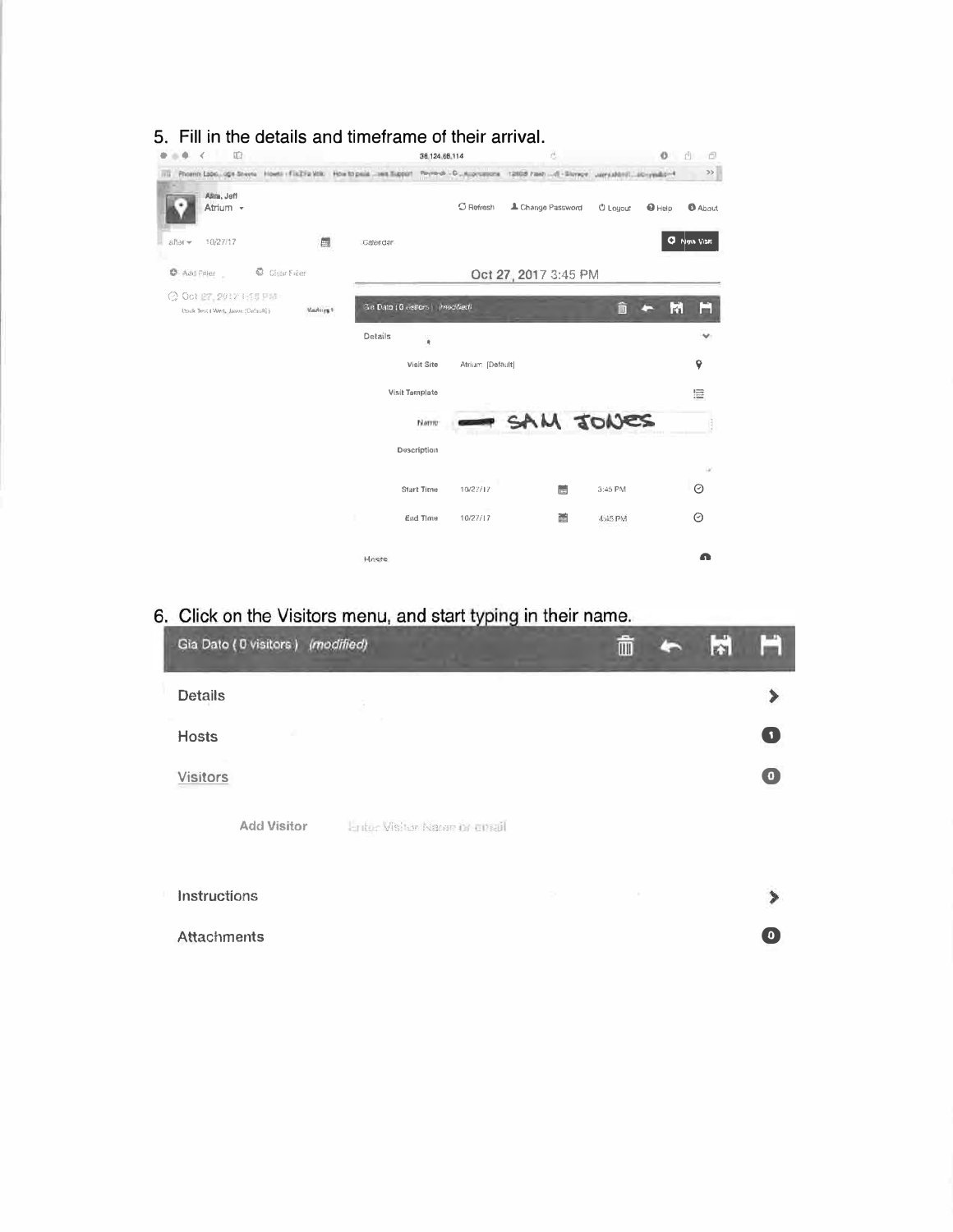| 吅<br>∢                                                                   |          |                | 38,124,68,114                          | Ö.                   | o                                                                         | rh.<br>- 61        |
|--------------------------------------------------------------------------|----------|----------------|----------------------------------------|----------------------|---------------------------------------------------------------------------|--------------------|
| Phoenix Lagic, agis Sheets Howts - Fix21's Volk How to paid  see Support |          |                |                                        |                      | Reynold - D., Augustone - 12008 Fash - 41-Stonge - January Listerynable 4 | $\gg$              |
| ARm, Jeff<br>Atrium -                                                    |          |                | $C$ Refresh                            | L Change Password    | <b>U</b> Louout<br>$\mathbf{\Theta}$ Help                                 | <b>B</b> About     |
| 10/27/17<br>after -                                                      | 齫        | Calendar       |                                        |                      |                                                                           | <b>Q</b> Now Visit |
| <b>C</b> Add Filler<br>Char Filer                                        |          |                |                                        | Oct 27, 2017 3:45 PM |                                                                           |                    |
| <b>◎ Got 27, 2017 1:11 FM</b><br>Dock Test (Wed, Jason (Default) )       | Vadurs 1 |                | Gie Dato ( 0 visitors ) i innocified). |                      | m                                                                         | M<br>m.            |
|                                                                          |          | Details        | $\bar{\mathbf{r}}$                     |                      |                                                                           |                    |
|                                                                          |          |                | Visit Site<br>Atrium (Default)         |                      |                                                                           | Ŷ                  |
|                                                                          |          | Visit Template |                                        |                      |                                                                           | 巨                  |
|                                                                          |          |                | Name                                   | SAM JONES            |                                                                           |                    |
|                                                                          |          |                | Description                            |                      |                                                                           |                    |
|                                                                          |          |                | Start Time<br>10/27/17                 | <b>Inc.</b>          | 3:45 PM                                                                   | D.<br>O            |
|                                                                          |          |                | End Time<br>10/27/17                   | ind <sup>1</sup>     | 4:45 PM                                                                   | O                  |
|                                                                          |          |                |                                        |                      |                                                                           |                    |

## 5. Fill in the details and timeframe of their arrival.

## 6. Click on the Visitors menu, and start typing in their name.

|                    | Gia Dato ( 0 visitors ) (modified) |                               |        | TIII | r's |             |  |
|--------------------|------------------------------------|-------------------------------|--------|------|-----|-------------|--|
| <b>Details</b>     |                                    | G                             |        |      |     |             |  |
| <b>Hosts</b>       |                                    |                               |        |      |     | O           |  |
| <b>Visitors</b>    |                                    |                               |        |      |     | $\bullet$   |  |
|                    | <b>Add Visitor</b>                 | Entor Visitor Nacon or conall |        |      |     |             |  |
| Instructions       |                                    |                               | $\sim$ | ×    |     |             |  |
| <b>Attachments</b> |                                    |                               |        |      |     | $\mathbf 0$ |  |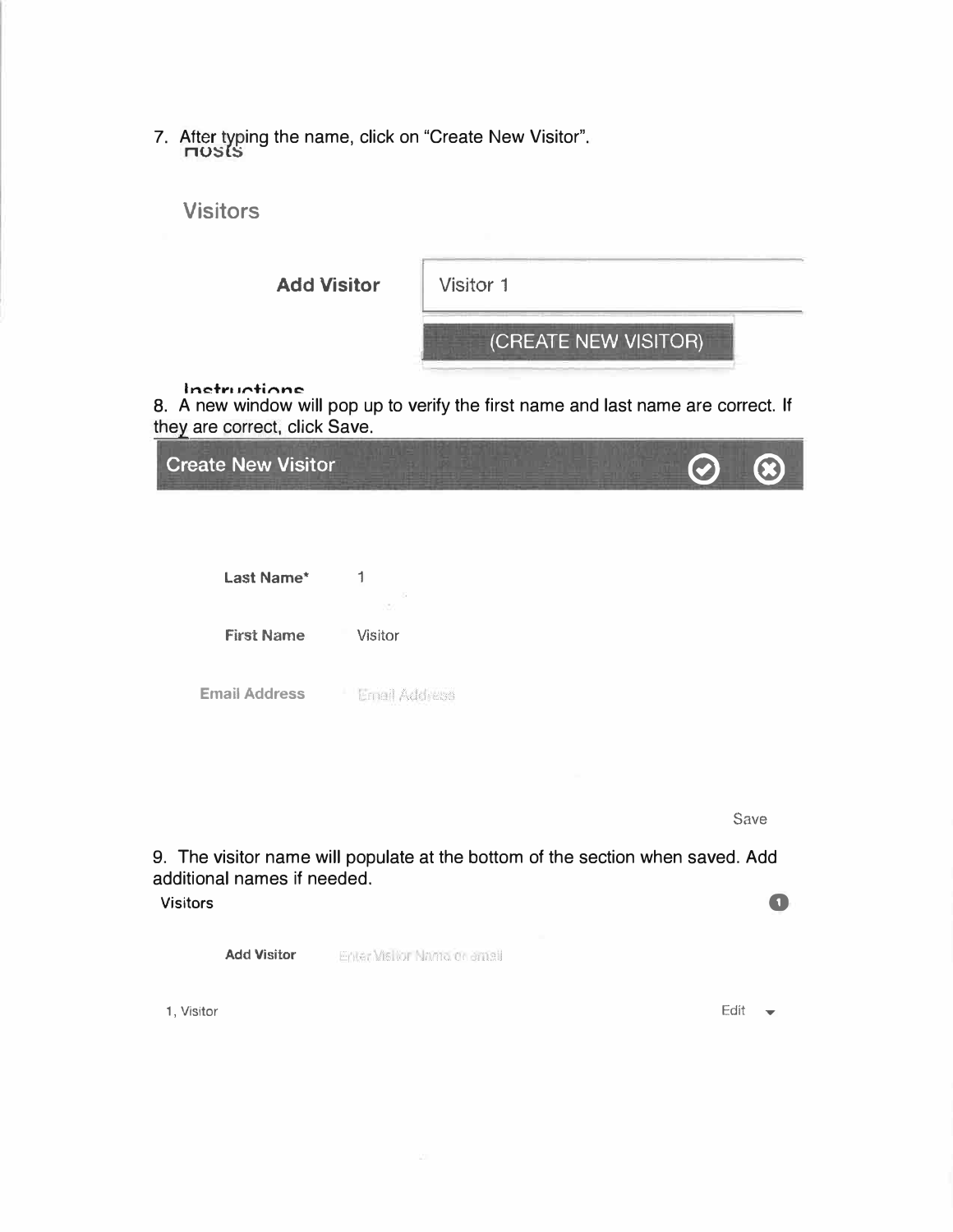7. After typing the name, click on "Create New Visitor".  $\overline{\text{max}}$ 



they are correct, click Save.

| <b>Create New Visitor</b> |               | <b>C</b> |  |
|---------------------------|---------------|----------|--|
|                           |               |          |  |
|                           |               |          |  |
| Last Name*                | 1<br>29.      |          |  |
| <b>First Name</b>         | Visitor       |          |  |
| <b>Email Address</b>      | Email Address |          |  |
|                           |               |          |  |

Save

**0** 

9. The visitor name will populate at the bottom of the section when saved. Add additional names if needed.

Visitors

|  | <b>Add Visitor</b> | Enter Visitor Nama di ameli |
|--|--------------------|-----------------------------|
|--|--------------------|-----------------------------|

1, Visitor

Edit  $\overline{\phantom{a}}$